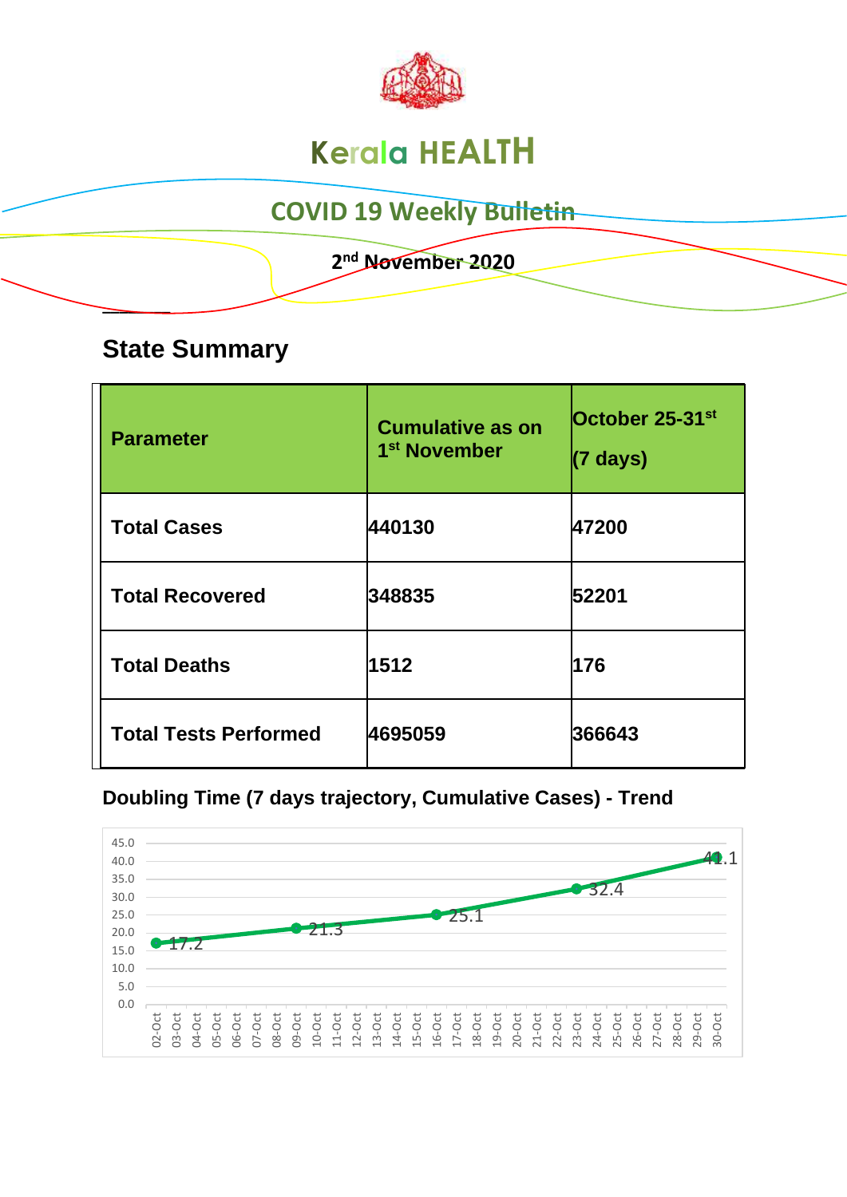

# **Kerala HEALTH**

## **COVID 19 Weekly Bulletin**

 **2 nd November 2020**

### **State Summary**

**\_\_\_\_\_\_\_\_** 

| <b>Parameter</b>             | <b>Cumulative as on</b><br>1 <sup>st</sup> November | October 25-31 <sup>st</sup><br>(7 days) |
|------------------------------|-----------------------------------------------------|-----------------------------------------|
| <b>Total Cases</b>           | 440130                                              | 47200                                   |
| <b>Total Recovered</b>       | 348835                                              | 52201                                   |
| <b>Total Deaths</b>          | 1512                                                | 176                                     |
| <b>Total Tests Performed</b> | 4695059                                             | 366643                                  |

**Doubling Time (7 days trajectory, Cumulative Cases) - Trend**

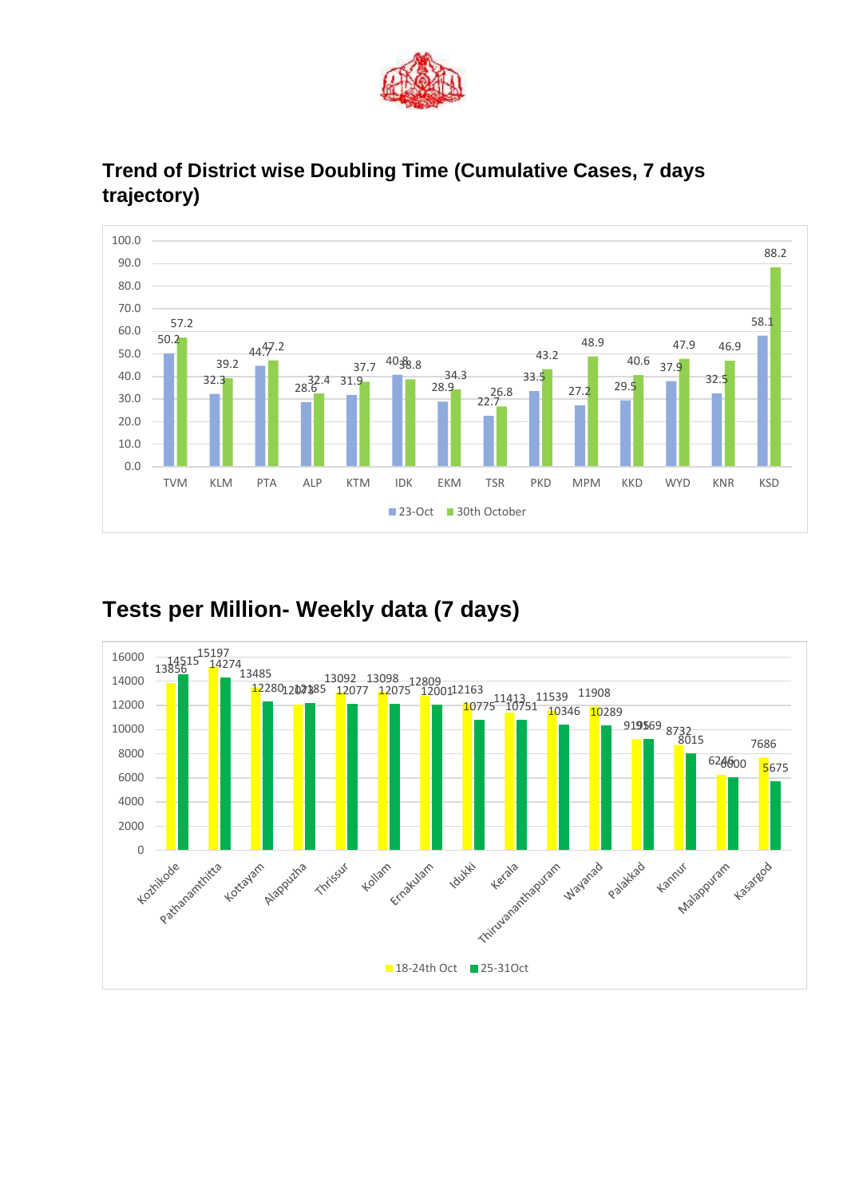



#### **Trend of District wise Doubling Time (Cumulative Cases, 7 days trajectory)**

#### **Tests per Million- Weekly data (7 days)**

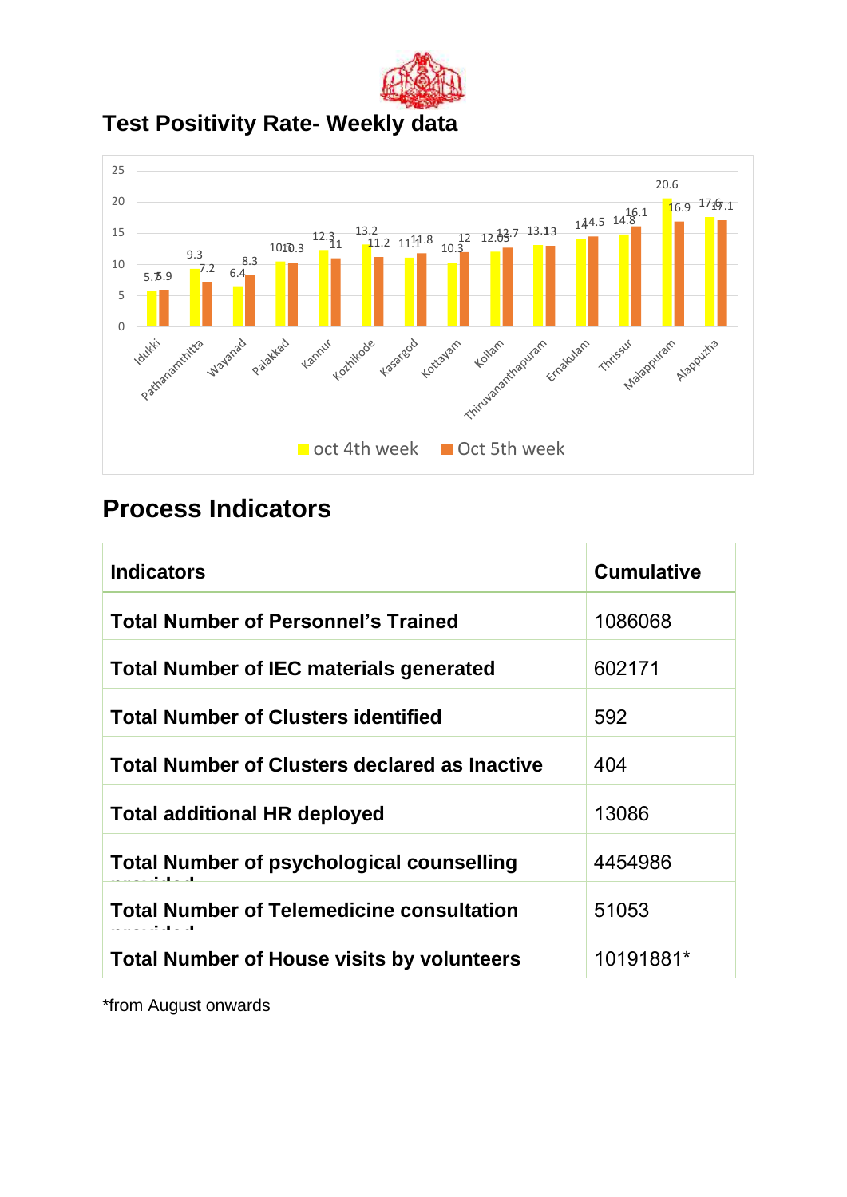

**Test Positivity Rate- Weekly data**



### **Process Indicators**

| <b>Indicators</b>                                    | <b>Cumulative</b> |
|------------------------------------------------------|-------------------|
| <b>Total Number of Personnel's Trained</b>           | 1086068           |
| <b>Total Number of IEC materials generated</b>       | 602171            |
| <b>Total Number of Clusters identified</b>           | 592               |
| <b>Total Number of Clusters declared as Inactive</b> | 404               |
| <b>Total additional HR deployed</b>                  | 13086             |
| <b>Total Number of psychological counselling</b>     | 4454986           |
| <b>Total Number of Telemedicine consultation</b>     | 51053             |
| <b>Total Number of House visits by volunteers</b>    | 10191881*         |

\*from August onwards